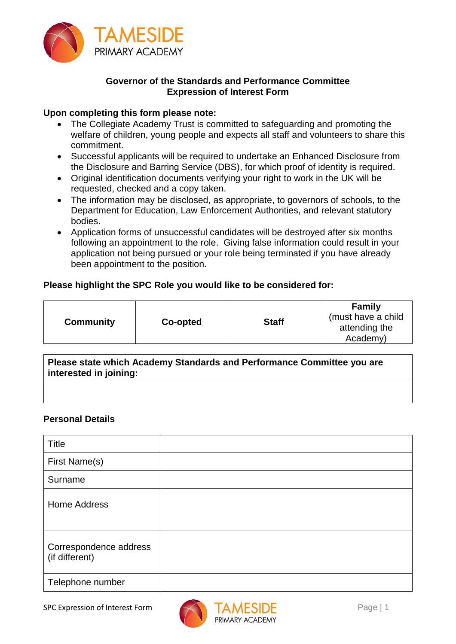

# **Governor of the Standards and Performance Committee Expression of Interest Form**

## **Upon completing this form please note:**

- The Collegiate Academy Trust is committed to safeguarding and promoting the welfare of children, young people and expects all staff and volunteers to share this commitment.
- Successful applicants will be required to undertake an Enhanced Disclosure from the Disclosure and Barring Service (DBS), for which proof of identity is required.
- Original identification documents verifying your right to work in the UK will be requested, checked and a copy taken.
- The information may be disclosed, as appropriate, to governors of schools, to the Department for Education, Law Enforcement Authorities, and relevant statutory bodies.
- Application forms of unsuccessful candidates will be destroyed after six months following an appointment to the role. Giving false information could result in your application not being pursued or your role being terminated if you have already been appointment to the position.

## **Please highlight the SPC Role you would like to be considered for:**

| Academy) |
|----------|
|----------|

**Please state which Academy Standards and Performance Committee you are interested in joining:**

### **Personal Details**

| <b>Title</b>                             |  |
|------------------------------------------|--|
| First Name(s)                            |  |
| Surname                                  |  |
| <b>Home Address</b>                      |  |
| Correspondence address<br>(if different) |  |
| Telephone number                         |  |

SPC Expression of Interest Form ANTAMESIDE

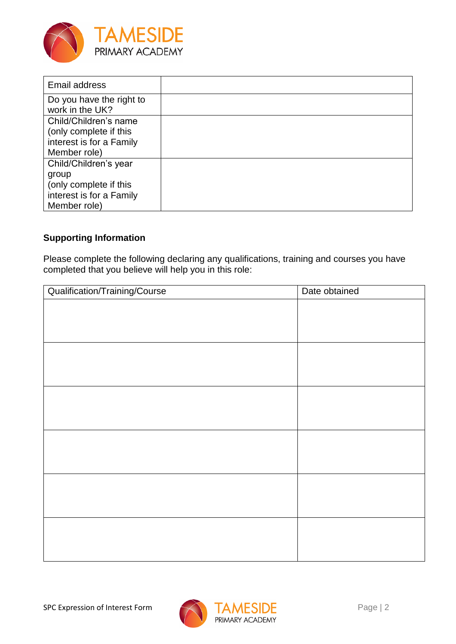

| Email address            |  |
|--------------------------|--|
| Do you have the right to |  |
| work in the UK?          |  |
| Child/Children's name    |  |
| (only complete if this   |  |
| interest is for a Family |  |
| Member role)             |  |
| Child/Children's year    |  |
| group                    |  |
| (only complete if this   |  |
| interest is for a Family |  |
| Member role)             |  |

# **Supporting Information**

Please complete the following declaring any qualifications, training and courses you have completed that you believe will help you in this role:

| Qualification/Training/Course | Date obtained |
|-------------------------------|---------------|
|                               |               |
|                               |               |
|                               |               |
|                               |               |
|                               |               |
|                               |               |
|                               |               |
|                               |               |
|                               |               |
|                               |               |
|                               |               |
|                               |               |
|                               |               |
|                               |               |
|                               |               |
|                               |               |
|                               |               |
|                               |               |

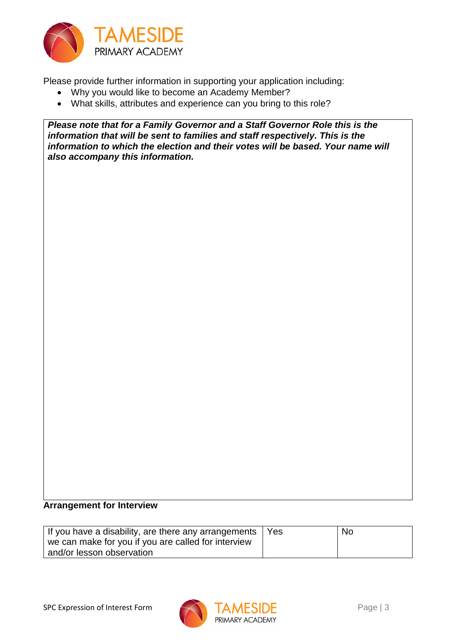

Please provide further information in supporting your application including:

- Why you would like to become an Academy Member?
- What skills, attributes and experience can you bring to this role?

*Please note that for a Family Governor and a Staff Governor Role this is the information that will be sent to families and staff respectively. This is the information to which the election and their votes will be based. Your name will also accompany this information.*

#### **Arrangement for Interview**

| If you have a disability, are there any arrangements $\vert$ Yes | No |
|------------------------------------------------------------------|----|
| we can make for you if you are called for interview              |    |
| and/or lesson observation                                        |    |